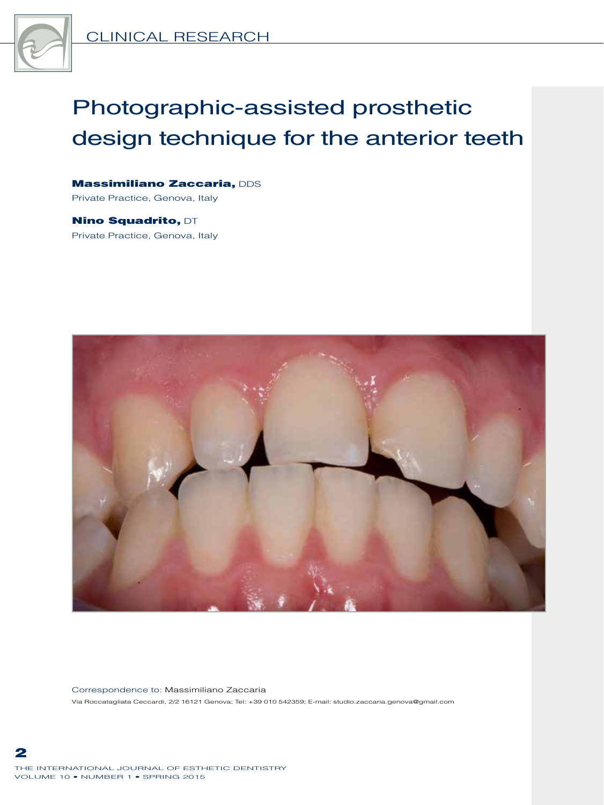

# Photographic-assisted prosthetic design technique for the anterior teeth

Massimiliano Zaccaria, DDS Private Practice, Genova, Italy

Nino Squadrito, DT Private Practice, Genova, Italy



Correspondence to: Massimiliano Zaccaria Via Roccatagliata Ceccardi, 2/2 16121 Genova; Tel: +39 010 542359; E-mail: studio.zaccaria.genova@gmail.com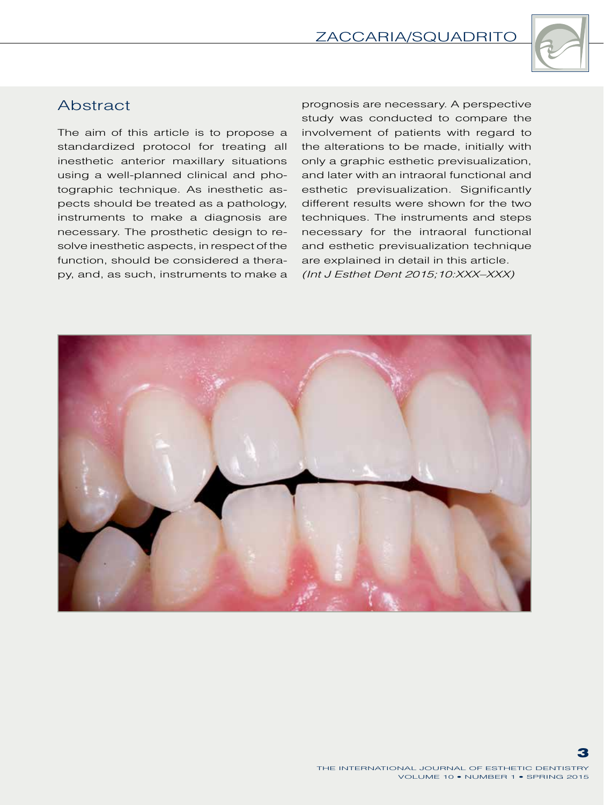

## **Abstract**

The aim of this article is to propose a standardized protocol for treating all inesthetic anterior maxillary situations using a well-planned clinical and photographic technique. As inesthetic aspects should be treated as a pathology, instruments to make a diagnosis are necessary. The prosthetic design to resolve inesthetic aspects, in respect of the function, should be considered a therapy, and, as such, instruments to make a

prognosis are necessary. A perspective study was conducted to compare the involvement of patients with regard to the alterations to be made, initially with only a graphic esthetic previsualization, and later with an intraoral functional and esthetic previsualization. Significantly different results were shown for the two techniques. The instruments and steps necessary for the intraoral functional and esthetic previsualization technique are explained in detail in this article. *(Int J Esthet Dent 2015;10:XXX–XXX)*

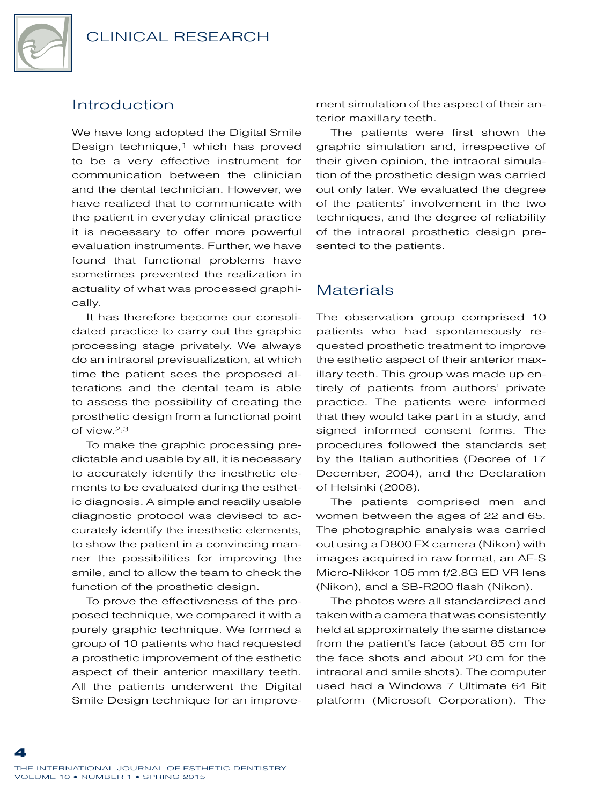

## Introduction

We have long adopted the Digital Smile Design technique,<sup>1</sup> which has proved to be a very effective instrument for communication between the clinician and the dental technician. However, we have realized that to communicate with the patient in everyday clinical practice it is necessary to offer more powerful evaluation instruments. Further, we have found that functional problems have sometimes prevented the realization in actuality of what was processed graphically.

It has therefore become our consolidated practice to carry out the graphic processing stage privately. We always do an intraoral previsualization, at which time the patient sees the proposed alterations and the dental team is able to assess the possibility of creating the prosthetic design from a functional point of view.2,3

To make the graphic processing predictable and usable by all, it is necessary to accurately identify the inesthetic elements to be evaluated during the esthetic diagnosis. A simple and readily usable diagnostic protocol was devised to accurately identify the inesthetic elements, to show the patient in a convincing manner the possibilities for improving the smile, and to allow the team to check the function of the prosthetic design.

To prove the effectiveness of the proposed technique, we compared it with a purely graphic technique. We formed a group of 10 patients who had requested a prosthetic improvement of the esthetic aspect of their anterior maxillary teeth. All the patients underwent the Digital Smile Design technique for an improvement simulation of the aspect of their anterior maxillary teeth.

The patients were first shown the graphic simulation and, irrespective of their given opinion, the intraoral simulation of the prosthetic design was carried out only later. We evaluated the degree of the patients' involvement in the two techniques, and the degree of reliability of the intraoral prosthetic design presented to the patients.

## **Materials**

The observation group comprised 10 patients who had spontaneously requested prosthetic treatment to improve the esthetic aspect of their anterior maxillary teeth. This group was made up entirely of patients from authors' private practice. The patients were informed that they would take part in a study, and signed informed consent forms. The procedures followed the standards set by the Italian authorities (Decree of 17 December, 2004), and the Declaration of Helsinki (2008).

The patients comprised men and women between the ages of 22 and 65. The photographic analysis was carried out using a D800 FX camera (Nikon) with images acquired in raw format, an AF-S Micro-Nikkor 105 mm f/2.8G ED VR lens (Nikon), and a SB-R200 flash (Nikon).

The photos were all standardized and taken with a camera that was consistently held at approximately the same distance from the patient's face (about 85 cm for the face shots and about 20 cm for the intraoral and smile shots). The computer used had a Windows 7 Ultimate 64 Bit platform (Microsoft Corporation). The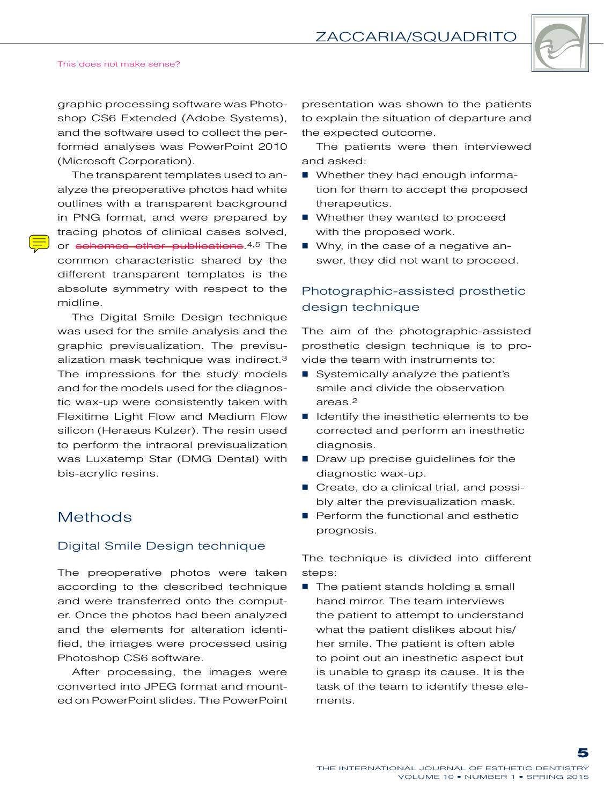

#### This does not make sense?

graphic processing software was Photoshop CS6 Extended (Adobe Systems), and the software used to collect the performed analyses was PowerPoint 2010 (Microsoft Corporation).

The transparent templates used to analyze the preoperative photos had white outlines with a transparent background in PNG format, and were prepared by tracing photos of clinical cases solved, or schemes other publications.<sup>4,5</sup> The common characteristic shared by the different transparent templates is the absolute symmetry with respect to the midline.

The Digital Smile Design technique was used for the smile analysis and the graphic previsualization. The previsualization mask technique was indirect.3 The impressions for the study models and for the models used for the diagnostic wax-up were consistently taken with Flexitime Light Flow and Medium Flow silicon (Heraeus Kulzer). The resin used to perform the intraoral previsualization was Luxatemp Star (DMG Dental) with bis-acrylic resins.

## **Methods**

#### Digital Smile Design technique

The preoperative photos were taken according to the described technique and were transferred onto the computer. Once the photos had been analyzed and the elements for alteration identified, the images were processed using Photoshop CS6 software.

After processing, the images were converted into JPEG format and mounted on PowerPoint slides. The PowerPoint presentation was shown to the patients to explain the situation of departure and the expected outcome.

The patients were then interviewed and asked:

- **Number 19 Milkery had enough informa**tion for them to accept the proposed therapeutics.
- Whether they wanted to proceed with the proposed work.
- Why, in the case of a negative answer, they did not want to proceed.

### Photographic-assisted prosthetic design technique

The aim of the photographic-assisted prosthetic design technique is to provide the team with instruments to:

- Systemically analyze the patient's smile and divide the observation areas.2
- I Identify the inesthetic elements to be corrected and perform an inesthetic diagnosis.
- Draw up precise quidelines for the diagnostic wax-up.
- Create, do a clinical trial, and possibly alter the previsualization mask.
- Perform the functional and esthetic prognosis.

The technique is divided into different steps:

 $\blacksquare$  The patient stands holding a small hand mirror. The team interviews the patient to attempt to understand what the patient dislikes about his/ her smile. The patient is often able to point out an inesthetic aspect but is unable to grasp its cause. It is the task of the team to identify these elements.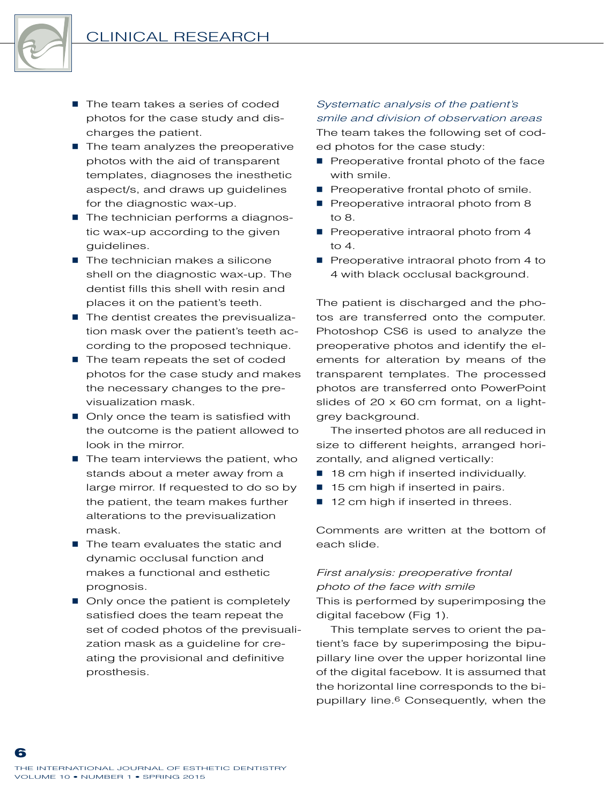

- The team takes a series of coded photos for the case study and discharges the patient.
- $\blacksquare$  The team analyzes the preoperative photos with the aid of transparent templates, diagnoses the inesthetic aspect/s, and draws up guidelines for the diagnostic wax-up.
- The technician performs a diagnostic wax-up according to the given guidelines.
- The technician makes a silicone shell on the diagnostic wax-up. The dentist fills this shell with resin and places it on the patient's teeth.
- $\blacksquare$  The dentist creates the previsualization mask over the patient's teeth according to the proposed technique.
- $\blacksquare$  The team repeats the set of coded photos for the case study and makes the necessary changes to the previsualization mask.
- Only once the team is satisfied with the outcome is the patient allowed to look in the mirror.
- $\blacksquare$  The team interviews the patient, who stands about a meter away from a large mirror. If requested to do so by the patient, the team makes further alterations to the previsualization mask.
- $\blacksquare$  The team evaluates the static and dynamic occlusal function and makes a functional and esthetic prognosis.
- Only once the patient is completely satisfied does the team repeat the set of coded photos of the previsualization mask as a guideline for creating the provisional and definitive prosthesis.

*Systematic analysis of the patient's smile and division of observation areas* The team takes the following set of coded photos for the case study:

- $\blacksquare$  Preoperative frontal photo of the face with smile.
- Preoperative frontal photo of smile.
- Preoperative intraoral photo from 8 to 8.
- $\blacksquare$  Preoperative intraoral photo from 4 to 4.
- Preoperative intraoral photo from 4 to 4 with black occlusal background.

The patient is discharged and the photos are transferred onto the computer. Photoshop CS6 is used to analyze the preoperative photos and identify the elements for alteration by means of the transparent templates. The processed photos are transferred onto PowerPoint slides of 20 x 60 cm format, on a lightgrey background.

The inserted photos are all reduced in size to different heights, arranged horizontally, and aligned vertically:

- 18 cm high if inserted individually.
- 15 cm high if inserted in pairs.
- 12 cm high if inserted in threes.

Comments are written at the bottom of each slide.

## *First analysis: preoperative frontal photo of the face with smile*

This is performed by superimposing the digital facebow (Fig 1).

This template serves to orient the patient's face by superimposing the bipupillary line over the upper horizontal line of the digital facebow. It is assumed that the horizontal line corresponds to the bipupillary line.6 Consequently, when the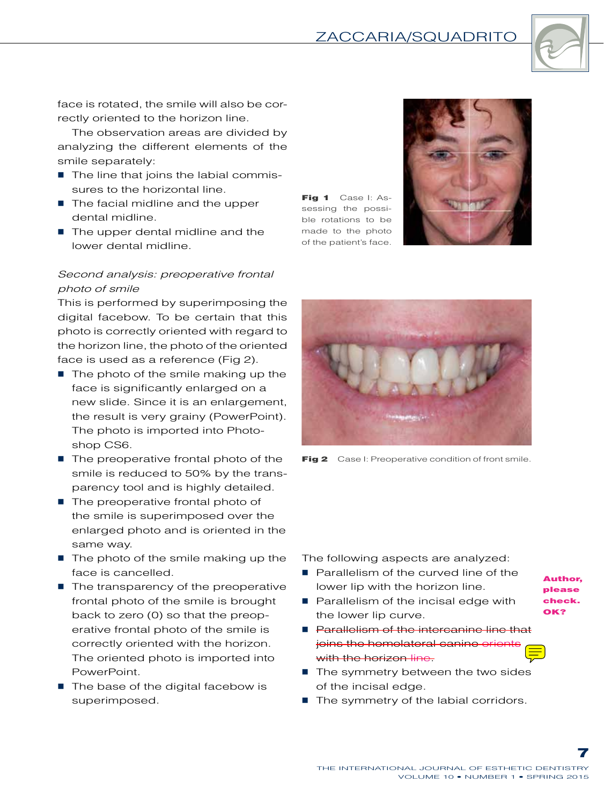

face is rotated, the smile will also be correctly oriented to the horizon line.

The observation areas are divided by analyzing the different elements of the smile separately:

- The line that joins the labial commissures to the horizontal line.
- $\blacksquare$  The facial midline and the upper dental midline.
- The upper dental midline and the lower dental midline.

#### *Second analysis: preoperative frontal photo of smile*

This is performed by superimposing the digital facebow. To be certain that this photo is correctly oriented with regard to the horizon line, the photo of the oriented face is used as a reference (Fig 2).

- $\blacksquare$  The photo of the smile making up the face is significantly enlarged on a new slide. Since it is an enlargement, the result is very grainy (PowerPoint). The photo is imported into Photoshop CS6.
- $\blacksquare$  The preoperative frontal photo of the smile is reduced to 50% by the transparency tool and is highly detailed.
- The preoperative frontal photo of the smile is superimposed over the enlarged photo and is oriented in the same way.
- $\blacksquare$  The photo of the smile making up the face is cancelled.
- $\blacksquare$  The transparency of the preoperative frontal photo of the smile is brought back to zero (0) so that the preoperative frontal photo of the smile is correctly oriented with the horizon. The oriented photo is imported into PowerPoint.
- $\blacksquare$  The base of the digital facebow is superimposed.

Fig 1 Case I: Assessing the possible rotations to be made to the photo of the patient's face.





**Fig 2** Case I: Preoperative condition of front smile.

The following aspects are analyzed:

- **Parallelism of the curved line of the** lower lip with the horizon line.
- **Parallelism of the incisal edge with** the lower lip curve.
- **Parallelism of the intercanine line that** joins the homolateral canine orient with the horizon line-
- The symmetry between the two sides of the incisal edge.
- The symmetry of the labial corridors.
- Author, please check. OK?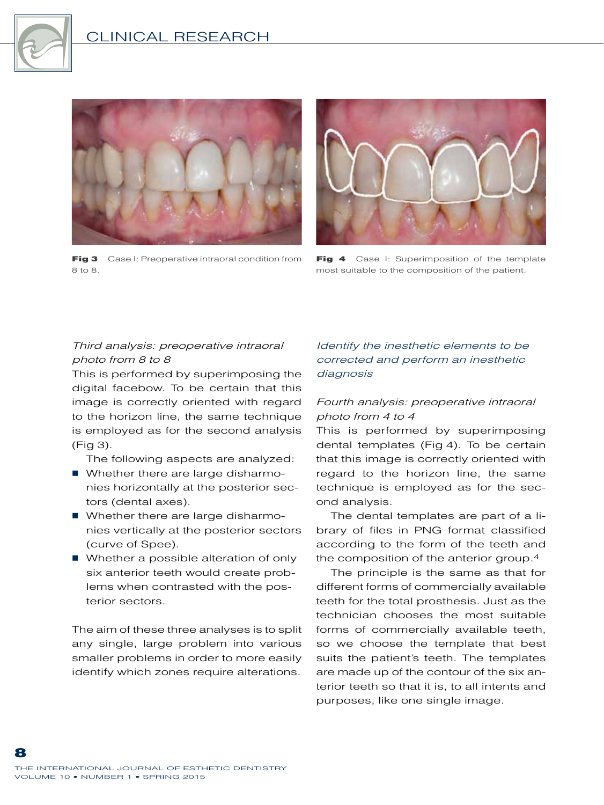



Fig 3 Case I: Preoperative intraoral condition from 8 to 8.



Fig 4 Case I: Superimposition of the template most suitable to the composition of the patient.

#### *Third analysis: preoperative intraoral photo from 8 to 8*

This is performed by superimposing the digital facebow. To be certain that this image is correctly oriented with regard to the horizon line, the same technique is employed as for the second analysis (Fig 3).

The following aspects are analyzed:

- Whether there are large disharmonies horizontally at the posterior sectors (dental axes).
- Whether there are large disharmonies vertically at the posterior sectors (curve of Spee).
- Whether a possible alteration of only six anterior teeth would create problems when contrasted with the posterior sectors.

The aim of these three analyses is to split any single, large problem into various smaller problems in order to more easily identify which zones require alterations.

#### *Identify the inesthetic elements to be corrected and perform an inesthetic diagnosis*

#### *Fourth analysis: preoperative intraoral photo from 4 to 4*

This is performed by superimposing dental templates (Fig 4). To be certain that this image is correctly oriented with regard to the horizon line, the same technique is employed as for the second analysis.

The dental templates are part of a library of files in PNG format classified according to the form of the teeth and the composition of the anterior group.4

The principle is the same as that for different forms of commercially available teeth for the total prosthesis. Just as the technician chooses the most suitable forms of commercially available teeth, so we choose the template that best suits the patient's teeth. The templates are made up of the contour of the six anterior teeth so that it is, to all intents and purposes, like one single image.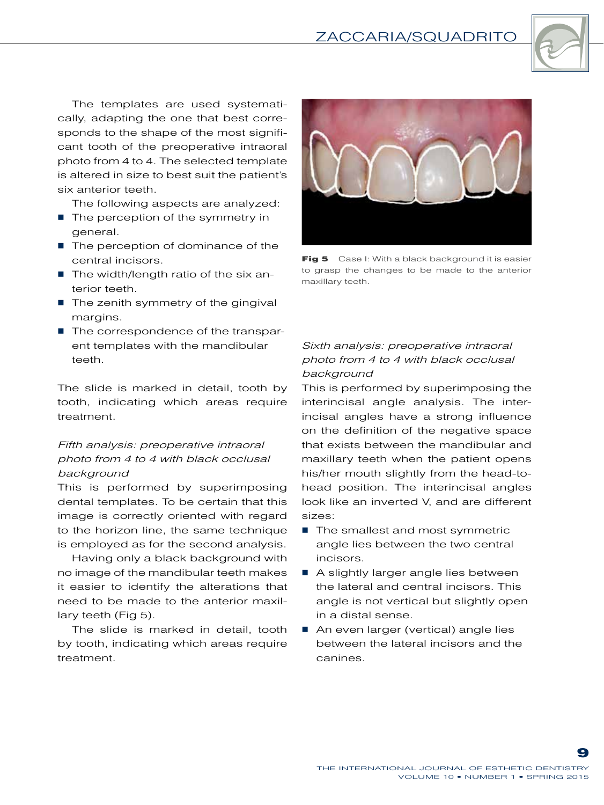

The templates are used systematically, adapting the one that best corresponds to the shape of the most significant tooth of the preoperative intraoral photo from 4 to 4. The selected template is altered in size to best suit the patient's six anterior teeth.

The following aspects are analyzed:

- $\blacksquare$  The perception of the symmetry in general.
- The perception of dominance of the central incisors.
- The width/length ratio of the six anterior teeth.
- $\blacksquare$  The zenith symmetry of the gingival margins.
- The correspondence of the transparent templates with the mandibular teeth.

The slide is marked in detail, tooth by tooth, indicating which areas require treatment.

#### *Fifth analysis: preoperative intraoral photo from 4 to 4 with black occlusal background*

This is performed by superimposing dental templates. To be certain that this image is correctly oriented with regard to the horizon line, the same technique is employed as for the second analysis.

Having only a black background with no image of the mandibular teeth makes it easier to identify the alterations that need to be made to the anterior maxillary teeth (Fig 5).

The slide is marked in detail, tooth by tooth, indicating which areas require treatment.



Fig 5 Case I: With a black background it is easier to grasp the changes to be made to the anterior maxillary teeth.

#### *Sixth analysis: preoperative intraoral photo from 4 to 4 with black occlusal background*

This is performed by superimposing the interincisal angle analysis. The interincisal angles have a strong influence on the definition of the negative space that exists between the mandibular and maxillary teeth when the patient opens his/her mouth slightly from the head-tohead position. The interincisal angles look like an inverted V, and are different sizes:

- The smallest and most symmetric angle lies between the two central incisors.
- A slightly larger angle lies between the lateral and central incisors. This angle is not vertical but slightly open in a distal sense.
- An even larger (vertical) angle lies between the lateral incisors and the canines.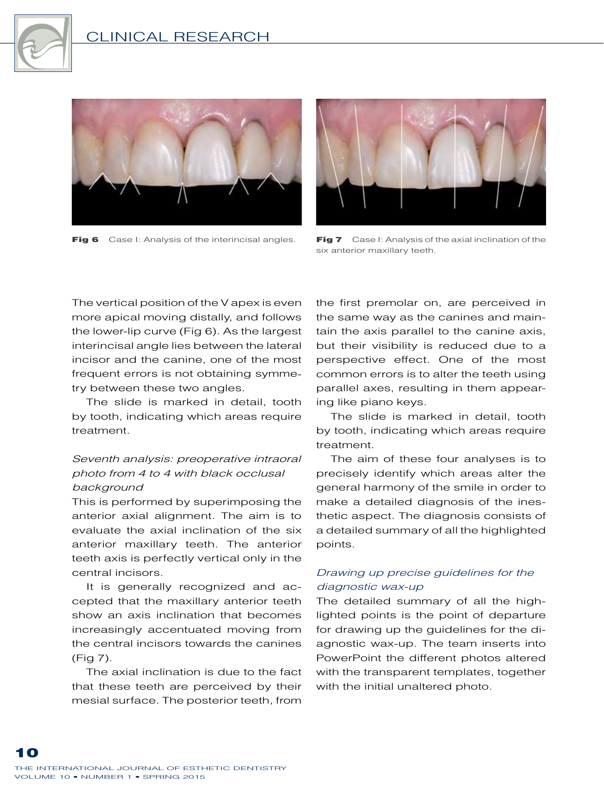





Fig 6 Case I: Analysis of the interincisal angles. Fig 7 Case I: Analysis of the axial inclination of the six anterior maxillary teeth.

The vertical position of the V apex is even more apical moving distally, and follows the lower-lip curve (Fig 6). As the largest interincisal angle lies between the lateral incisor and the canine, one of the most frequent errors is not obtaining symmetry between these two angles.

The slide is marked in detail, tooth by tooth, indicating which areas require treatment.

#### *Seventh analysis: preoperative intraoral photo from 4 to 4 with black occlusal background*

This is performed by superimposing the anterior axial alignment. The aim is to evaluate the axial inclination of the six anterior maxillary teeth. The anterior teeth axis is perfectly vertical only in the central incisors.

It is generally recognized and accepted that the maxillary anterior teeth show an axis inclination that becomes increasingly accentuated moving from the central incisors towards the canines (Fig 7).

The axial inclination is due to the fact that these teeth are perceived by their mesial surface. The posterior teeth, from

the first premolar on, are perceived in the same way as the canines and maintain the axis parallel to the canine axis, but their visibility is reduced due to a perspective effect. One of the most common errors is to alter the teeth using parallel axes, resulting in them appearing like piano keys.

The slide is marked in detail, tooth by tooth, indicating which areas require treatment.

The aim of these four analyses is to precisely identify which areas alter the general harmony of the smile in order to make a detailed diagnosis of the inesthetic aspect. The diagnosis consists of a detailed summary of all the highlighted points.

#### *Drawing up precise guidelines for the diagnostic wax-up*

The detailed summary of all the highlighted points is the point of departure for drawing up the guidelines for the diagnostic wax-up. The team inserts into PowerPoint the different photos altered with the transparent templates, together with the initial unaltered photo.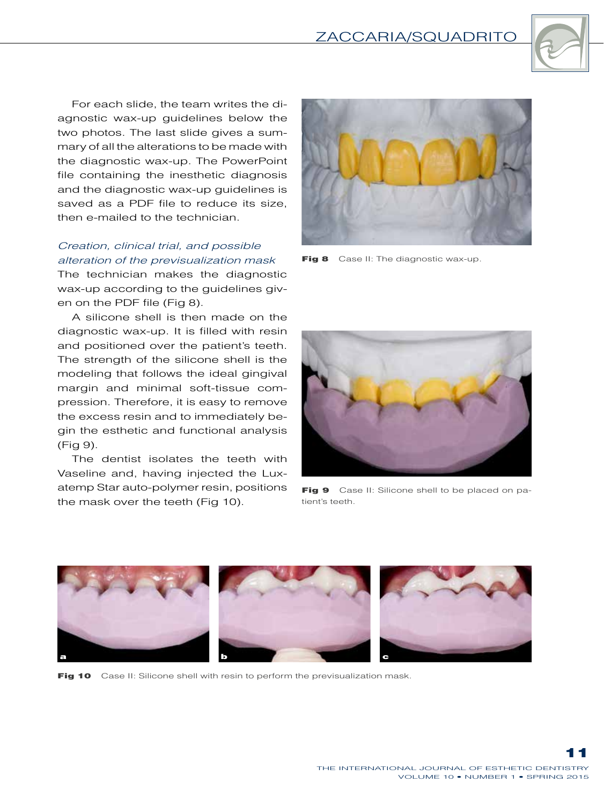

For each slide, the team writes the diagnostic wax-up guidelines below the two photos. The last slide gives a summary of all the alterations to be made with the diagnostic wax-up. The PowerPoint file containing the inesthetic diagnosis and the diagnostic wax-up guidelines is saved as a PDF file to reduce its size, then e-mailed to the technician.

#### *Creation, clinical trial, and possible alteration of the previsualization mask*

The technician makes the diagnostic wax-up according to the guidelines given on the PDF file (Fig 8).

A silicone shell is then made on the diagnostic wax-up. It is filled with resin and positioned over the patient's teeth. The strength of the silicone shell is the modeling that follows the ideal gingival margin and minimal soft-tissue compression. Therefore, it is easy to remove the excess resin and to immediately begin the esthetic and functional analysis (Fig 9).

The dentist isolates the teeth with Vaseline and, having injected the Luxatemp Star auto-polymer resin, positions the mask over the teeth (Fig 10).



Fig 8 Case II: The diagnostic wax-up.



Fig 9 Case II: Silicone shell to be placed on patient's teeth.



Fig 10 Case II: Silicone shell with resin to perform the previsualization mask.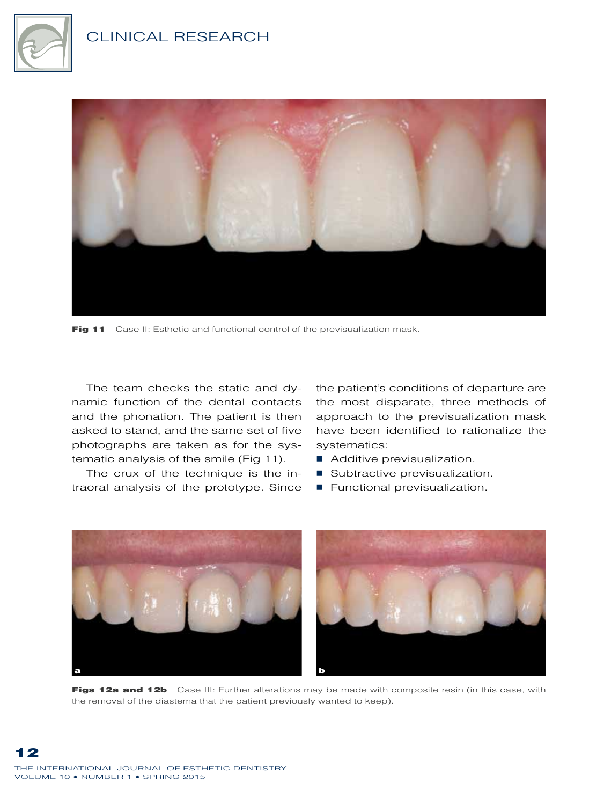



Fig 11 Case II: Esthetic and functional control of the previsualization mask.

The team checks the static and dynamic function of the dental contacts and the phonation. The patient is then asked to stand, and the same set of five photographs are taken as for the systematic analysis of the smile (Fig 11).

The crux of the technique is the intraoral analysis of the prototype. Since

the patient's conditions of departure are the most disparate, three methods of approach to the previsualization mask have been identified to rationalize the systematics:

- Additive previsualization.
- Subtractive previsualization.
- **Functional previsualization.**



Figs 12a and 12b Case III: Further alterations may be made with composite resin (in this case, with the removal of the diastema that the patient previously wanted to keep).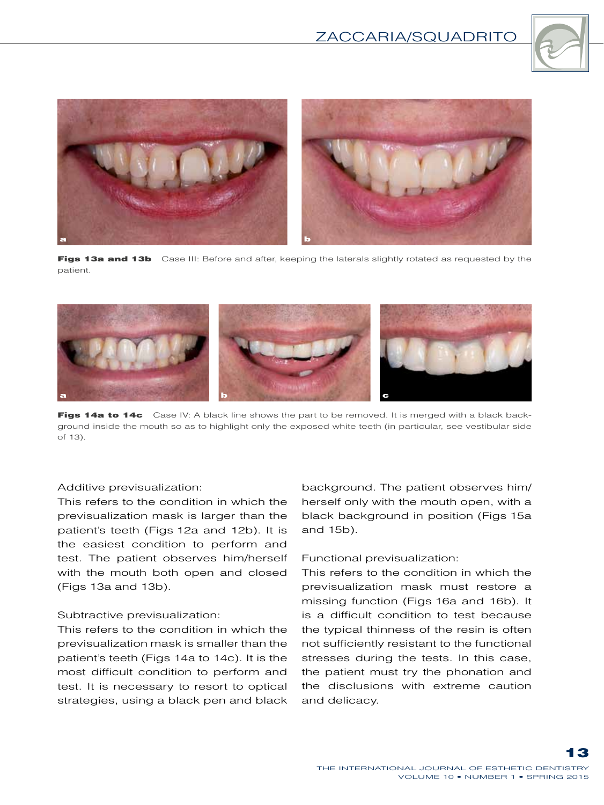



Figs 13a and 13b Case III: Before and after, keeping the laterals slightly rotated as requested by the patient.



Figs 14a to 14c Case IV: A black line shows the part to be removed. It is merged with a black background inside the mouth so as to highlight only the exposed white teeth (in particular, see vestibular side of 13).

#### Additive previsualization:

This refers to the condition in which the previsualization mask is larger than the patient's teeth (Figs 12a and 12b). It is the easiest condition to perform and test. The patient observes him/herself with the mouth both open and closed (Figs 13a and 13b).

#### Subtractive previsualization:

This refers to the condition in which the previsualization mask is smaller than the patient's teeth (Figs 14a to 14c). It is the most difficult condition to perform and test. It is necessary to resort to optical strategies, using a black pen and black

background. The patient observes him/ herself only with the mouth open, with a black background in position (Figs 15a and 15b).

#### Functional previsualization:

This refers to the condition in which the previsualization mask must restore a missing function (Figs 16a and 16b). It is a difficult condition to test because the typical thinness of the resin is often not sufficiently resistant to the functional stresses during the tests. In this case, the patient must try the phonation and the disclusions with extreme caution and delicacy.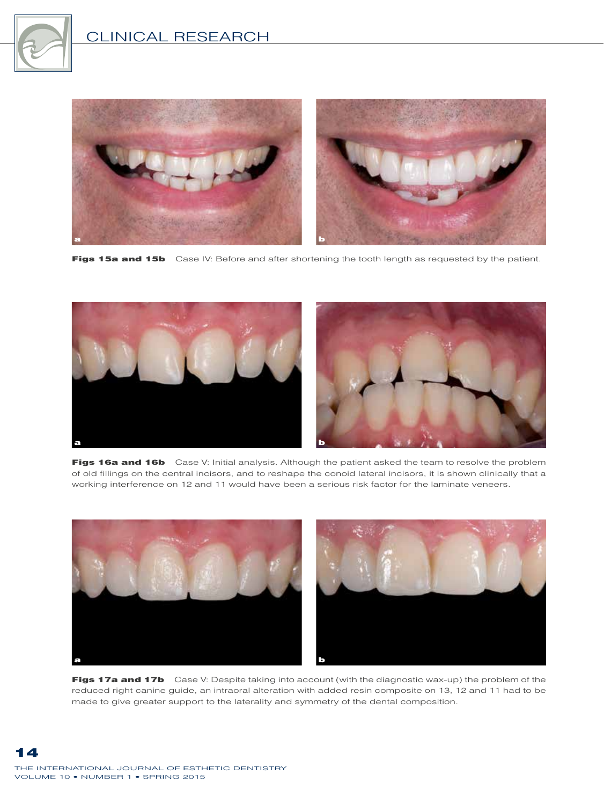



Figs 15a and 15b Case IV: Before and after shortening the tooth length as requested by the patient.



Figs 16a and 16b Case V: Initial analysis. Although the patient asked the team to resolve the problem of old fillings on the central incisors, and to reshape the conoid lateral incisors, it is shown clinically that a working interference on 12 and 11 would have been a serious risk factor for the laminate veneers.



Figs 17a and 17b Case V: Despite taking into account (with the diagnostic wax-up) the problem of the reduced right canine guide, an intraoral alteration with added resin composite on 13, 12 and 11 had to be made to give greater support to the laterality and symmetry of the dental composition.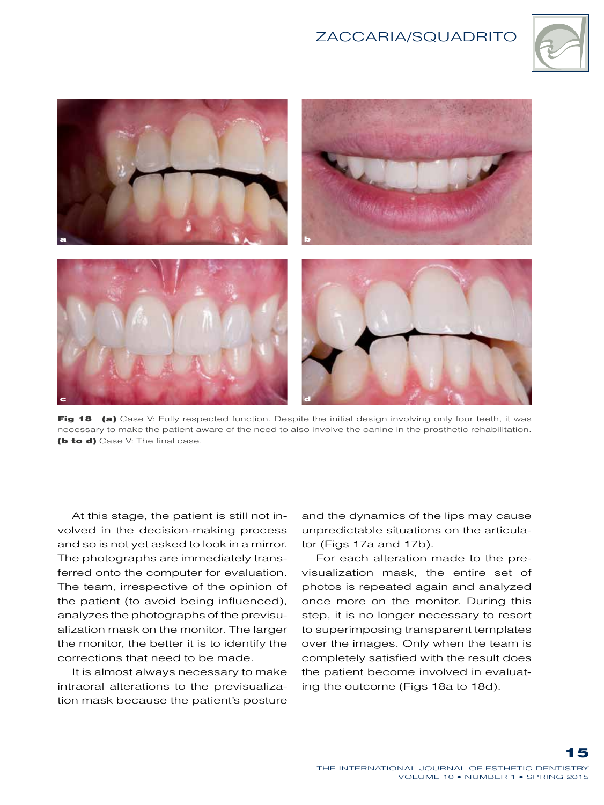



Fig 18 (a) Case V: Fully respected function. Despite the initial design involving only four teeth, it was necessary to make the patient aware of the need to also involve the canine in the prosthetic rehabilitation. (b to d) Case V: The final case.

At this stage, the patient is still not involved in the decision-making process and so is not yet asked to look in a mirror. The photographs are immediately transferred onto the computer for evaluation. The team, irrespective of the opinion of the patient (to avoid being influenced), analyzes the photographs of the previsualization mask on the monitor. The larger the monitor, the better it is to identify the corrections that need to be made.

It is almost always necessary to make intraoral alterations to the previsualization mask because the patient's posture

and the dynamics of the lips may cause unpredictable situations on the articulator (Figs 17a and 17b).

For each alteration made to the previsualization mask, the entire set of photos is repeated again and analyzed once more on the monitor. During this step, it is no longer necessary to resort to superimposing transparent templates over the images. Only when the team is completely satisfied with the result does the patient become involved in evaluating the outcome (Figs 18a to 18d).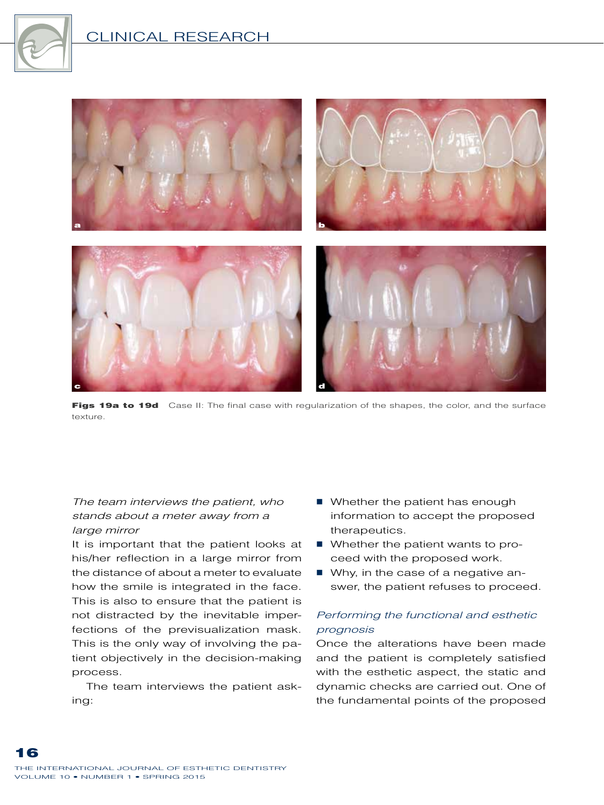



Figs 19a to 19d Case II: The final case with regularization of the shapes, the color, and the surface texture.

#### *The team interviews the patient, who stands about a meter away from a large mirror*

It is important that the patient looks at his/her reflection in a large mirror from the distance of about a meter to evaluate how the smile is integrated in the face. This is also to ensure that the patient is not distracted by the inevitable imperfections of the previsualization mask. This is the only way of involving the patient objectively in the decision-making process.

The team interviews the patient asking:

- Whether the patient has enough information to accept the proposed therapeutics.
- Whether the patient wants to proceed with the proposed work.
- Why, in the case of a negative answer, the patient refuses to proceed.

#### *Performing the functional and esthetic prognosis*

Once the alterations have been made and the patient is completely satisfied with the esthetic aspect, the static and dynamic checks are carried out. One of the fundamental points of the proposed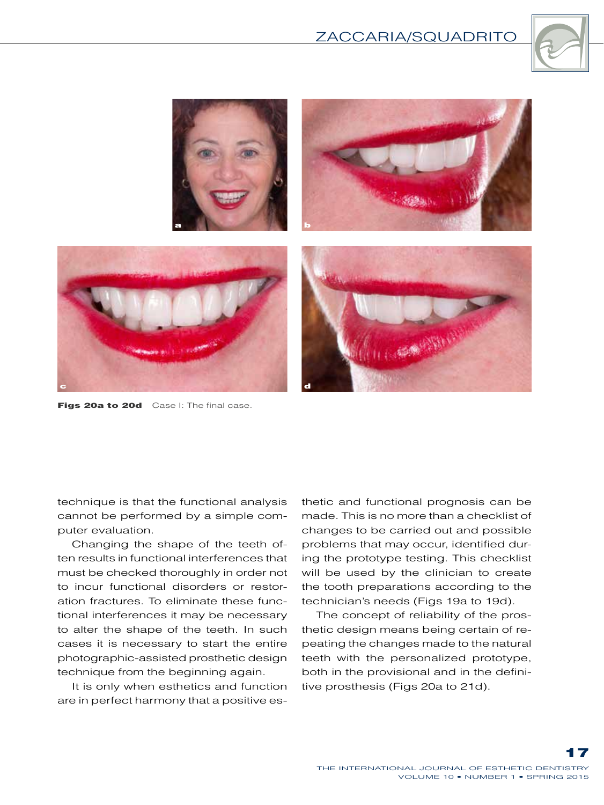



Figs 20a to 20d Case I: The final case.

technique is that the functional analysis cannot be performed by a simple computer evaluation.

Changing the shape of the teeth often results in functional interferences that must be checked thoroughly in order not to incur functional disorders or restoration fractures. To eliminate these functional interferences it may be necessary to alter the shape of the teeth. In such cases it is necessary to start the entire photographic-assisted prosthetic design technique from the beginning again.

It is only when esthetics and function are in perfect harmony that a positive esthetic and functional prognosis can be made. This is no more than a checklist of changes to be carried out and possible problems that may occur, identified during the prototype testing. This checklist will be used by the clinician to create the tooth preparations according to the technician's needs (Figs 19a to 19d).

The concept of reliability of the prosthetic design means being certain of repeating the changes made to the natural teeth with the personalized prototype, both in the provisional and in the definitive prosthesis (Figs 20a to 21d).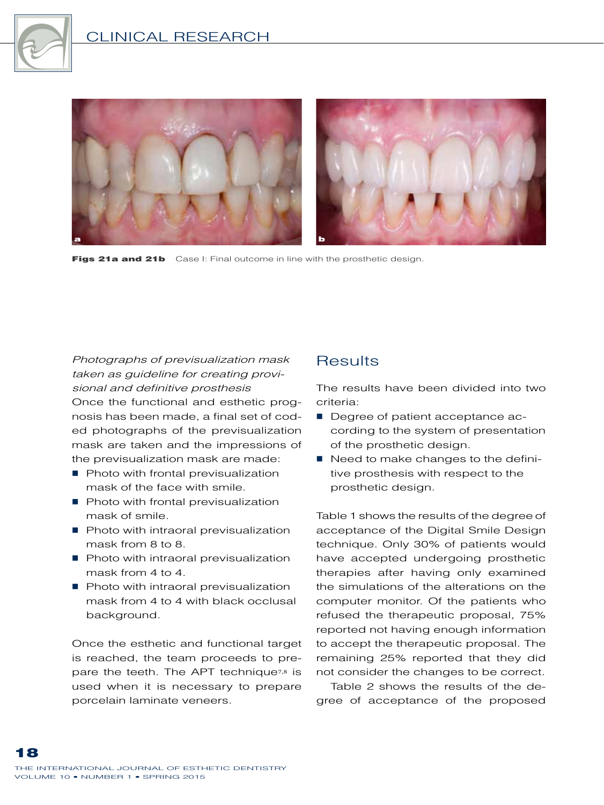



Figs 21a and 21b Case I: Final outcome in line with the prosthetic design.

*Photographs of previsualization mask taken as guideline for creating provisional and definitive prosthesis* Once the functional and esthetic prognosis has been made, a final set of coded photographs of the previsualization mask are taken and the impressions of the previsualization mask are made:

- Photo with frontal previsualization mask of the face with smile.
- Photo with frontal previsualization mask of smile.
- Photo with intraoral previsualization mask from 8 to 8.
- Photo with intraoral previsualization mask from 4 to 4.
- Photo with intraoral previsualization mask from 4 to 4 with black occlusal background.

Once the esthetic and functional target is reached, the team proceeds to prepare the teeth. The APT technique<sup>7,8</sup> is used when it is necessary to prepare porcelain laminate veneers.

## **Results**

The results have been divided into two criteria:

- Degree of patient acceptance according to the system of presentation of the prosthetic design.
- Need to make changes to the definitive prosthesis with respect to the prosthetic design.

Table 1 shows the results of the degree of acceptance of the Digital Smile Design technique. Only 30% of patients would have accepted undergoing prosthetic therapies after having only examined the simulations of the alterations on the computer monitor. Of the patients who refused the therapeutic proposal, 75% reported not having enough information to accept the therapeutic proposal. The remaining 25% reported that they did not consider the changes to be correct.

Table 2 shows the results of the degree of acceptance of the proposed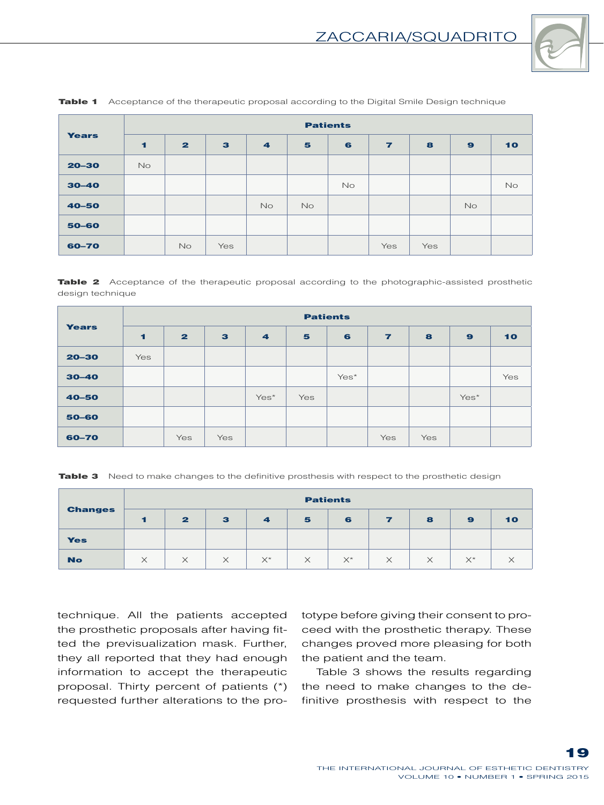

| <b>Years</b> | <b>Patients</b> |                         |              |                |           |           |                |     |              |    |  |
|--------------|-----------------|-------------------------|--------------|----------------|-----------|-----------|----------------|-----|--------------|----|--|
|              | $\blacksquare$  | $\overline{\mathbf{z}}$ | $\mathbf{3}$ | $\overline{4}$ | 5         | 6         | $\overline{ }$ | 8   | $\mathbf{9}$ | 10 |  |
| $20 - 30$    | <b>No</b>       |                         |              |                |           |           |                |     |              |    |  |
| $30 - 40$    |                 |                         |              |                |           | <b>No</b> |                |     |              | No |  |
| $40 - 50$    |                 |                         |              | <b>No</b>      | <b>No</b> |           |                |     | <b>No</b>    |    |  |
| 50-60        |                 |                         |              |                |           |           |                |     |              |    |  |
| 60-70        |                 | <b>No</b>               | Yes          |                |           |           | Yes            | Yes |              |    |  |

**Table 1** Acceptance of the therapeutic proposal according to the Digital Smile Design technique

**Table 2** Acceptance of the therapeutic proposal according to the photographic-assisted prosthetic design technique

| <b>Years</b> | <b>Patients</b> |              |              |                |     |      |                |     |              |     |  |
|--------------|-----------------|--------------|--------------|----------------|-----|------|----------------|-----|--------------|-----|--|
|              | $\blacksquare$  | $\mathbf{z}$ | $\mathbf{3}$ | $\overline{4}$ | 5   | 6    | $\overline{ }$ | 8   | $\mathbf{9}$ | 10  |  |
| $20 - 30$    | Yes             |              |              |                |     |      |                |     |              |     |  |
| $30 - 40$    |                 |              |              |                |     | Yes* |                |     |              | Yes |  |
| $40 - 50$    |                 |              |              | Yes*           | Yes |      |                |     | Yes*         |     |  |
| 50-60        |                 |              |              |                |     |      |                |     |              |     |  |
| 60-70        |                 | Yes          | Yes          |                |     |      | Yes            | Yes |              |     |  |

Table 3 Need to make changes to the definitive prosthesis with respect to the prosthetic design

| <b>Changes</b> | <b>Patients</b> |              |              |                         |          |            |          |          |       |    |  |
|----------------|-----------------|--------------|--------------|-------------------------|----------|------------|----------|----------|-------|----|--|
|                |                 | $\mathbf{2}$ | $\mathbf{3}$ | $\overline{\mathbf{A}}$ | 5        | 6          |          | 8        | 9     | 10 |  |
| <b>Yes</b>     |                 |              |              |                         |          |            |          |          |       |    |  |
| <b>No</b>      |                 | $\times$     | $\times$     | $X^*$                   | $\times$ | $\times^*$ | $\times$ | $\times$ | $X^*$ | ⌒  |  |

technique. All the patients accepted the prosthetic proposals after having fitted the previsualization mask. Further, they all reported that they had enough information to accept the therapeutic proposal. Thirty percent of patients (\*) requested further alterations to the prototype before giving their consent to proceed with the prosthetic therapy. These changes proved more pleasing for both the patient and the team.

Table 3 shows the results regarding the need to make changes to the definitive prosthesis with respect to the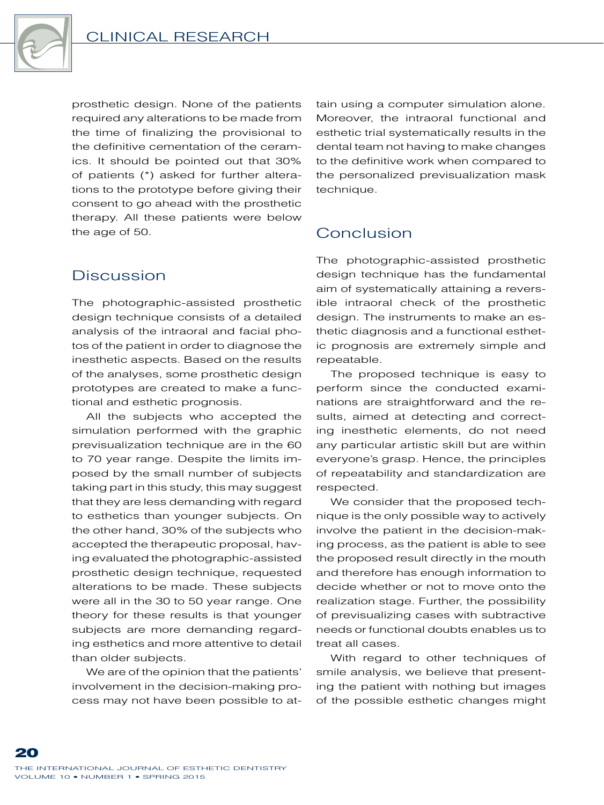

prosthetic design. None of the patients required any alterations to be made from the time of finalizing the provisional to the definitive cementation of the ceramics. It should be pointed out that 30% of patients (\*) asked for further alterations to the prototype before giving their consent to go ahead with the prosthetic therapy. All these patients were below the age of 50.

## Discussion

The photographic-assisted prosthetic design technique consists of a detailed analysis of the intraoral and facial photos of the patient in order to diagnose the inesthetic aspects. Based on the results of the analyses, some prosthetic design prototypes are created to make a functional and esthetic prognosis.

All the subjects who accepted the simulation performed with the graphic previsualization technique are in the 60 to 70 year range. Despite the limits imposed by the small number of subjects taking part in this study, this may suggest that they are less demanding with regard to esthetics than younger subjects. On the other hand, 30% of the subjects who accepted the therapeutic proposal, having evaluated the photographic-assisted prosthetic design technique, requested alterations to be made. These subjects were all in the 30 to 50 year range. One theory for these results is that younger subjects are more demanding regarding esthetics and more attentive to detail than older subjects.

We are of the opinion that the patients' involvement in the decision-making process may not have been possible to attain using a computer simulation alone. Moreover, the intraoral functional and esthetic trial systematically results in the dental team not having to make changes to the definitive work when compared to the personalized previsualization mask technique.

## Conclusion

The photographic-assisted prosthetic design technique has the fundamental aim of systematically attaining a reversible intraoral check of the prosthetic design. The instruments to make an esthetic diagnosis and a functional esthetic prognosis are extremely simple and repeatable.

The proposed technique is easy to perform since the conducted examinations are straightforward and the results, aimed at detecting and correcting inesthetic elements, do not need any particular artistic skill but are within everyone's grasp. Hence, the principles of repeatability and standardization are respected.

We consider that the proposed technique is the only possible way to actively involve the patient in the decision-making process, as the patient is able to see the proposed result directly in the mouth and therefore has enough information to decide whether or not to move onto the realization stage. Further, the possibility of previsualizing cases with subtractive needs or functional doubts enables us to treat all cases.

With regard to other techniques of smile analysis, we believe that presenting the patient with nothing but images of the possible esthetic changes might